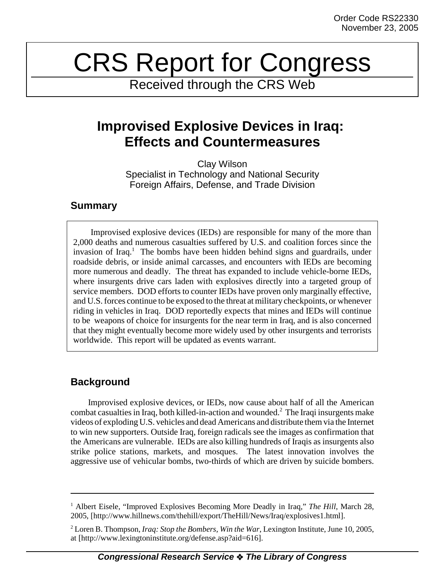# CRS Report for Congress

Received through the CRS Web

## **Improvised Explosive Devices in Iraq: Effects and Countermeasures**

Clay Wilson Specialist in Technology and National Security Foreign Affairs, Defense, and Trade Division

## **Summary**

Improvised explosive devices (IEDs) are responsible for many of the more than 2,000 deaths and numerous casualties suffered by U.S. and coalition forces since the invasion of Iraq.<sup>1</sup> The bombs have been hidden behind signs and guardrails, under roadside debris, or inside animal carcasses, and encounters with IEDs are becoming more numerous and deadly. The threat has expanded to include vehicle-borne IEDs, where insurgents drive cars laden with explosives directly into a targeted group of service members. DOD efforts to counter IEDs have proven only marginally effective, and U.S. forces continue to be exposed to the threat at military checkpoints, or whenever riding in vehicles in Iraq. DOD reportedly expects that mines and IEDs will continue to be weapons of choice for insurgents for the near term in Iraq, and is also concerned that they might eventually become more widely used by other insurgents and terrorists worldwide. This report will be updated as events warrant.

## **Background**

Improvised explosive devices, or IEDs, now cause about half of all the American combat casualties in Iraq, both killed-in-action and wounded.<sup>2</sup> The Iraqi insurgents make videos of exploding U.S. vehicles and dead Americans and distribute them via the Internet to win new supporters. Outside Iraq, foreign radicals see the images as confirmation that the Americans are vulnerable. IEDs are also killing hundreds of Iraqis as insurgents also strike police stations, markets, and mosques. The latest innovation involves the aggressive use of vehicular bombs, two-thirds of which are driven by suicide bombers.

<sup>&</sup>lt;sup>1</sup> Albert Eisele, "Improved Explosives Becoming More Deadly in Iraq," The Hill, March 28, 2005, [http://www.hillnews.com/thehill/export/TheHill/News/Iraq/explosives1.html].

<sup>2</sup> Loren B. Thompson, *Iraq: Stop the Bombers, Win the War*, Lexington Institute, June 10, 2005, at [http://www.lexingtoninstitute.org/defense.asp?aid=616].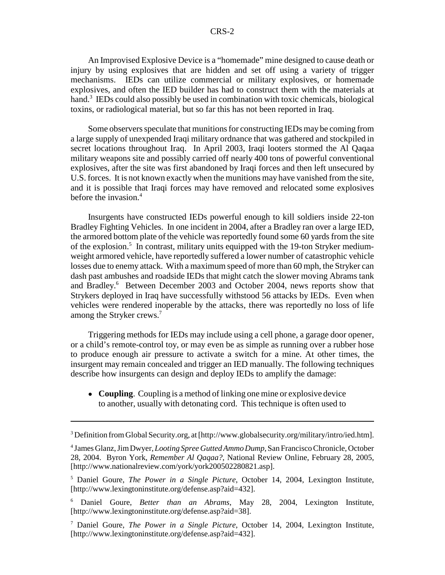An Improvised Explosive Device is a "homemade" mine designed to cause death or injury by using explosives that are hidden and set off using a variety of trigger mechanisms. IEDs can utilize commercial or military explosives, or homemade explosives, and often the IED builder has had to construct them with the materials at hand.<sup>3</sup> IEDs could also possibly be used in combination with toxic chemicals, biological toxins, or radiological material, but so far this has not been reported in Iraq.

Some observers speculate that munitions for constructing IEDs may be coming from a large supply of unexpended Iraqi military ordnance that was gathered and stockpiled in secret locations throughout Iraq. In April 2003, Iraqi looters stormed the Al Qaqaa military weapons site and possibly carried off nearly 400 tons of powerful conventional explosives, after the site was first abandoned by Iraqi forces and then left unsecured by U.S. forces. It is not known exactly when the munitions may have vanished from the site, and it is possible that Iraqi forces may have removed and relocated some explosives before the invasion.4

Insurgents have constructed IEDs powerful enough to kill soldiers inside 22-ton Bradley Fighting Vehicles. In one incident in 2004, after a Bradley ran over a large IED, the armored bottom plate of the vehicle was reportedly found some 60 yards from the site of the explosion.<sup>5</sup> In contrast, military units equipped with the 19-ton Stryker mediumweight armored vehicle, have reportedly suffered a lower number of catastrophic vehicle losses due to enemy attack. With a maximum speed of more than 60 mph, the Stryker can dash past ambushes and roadside IEDs that might catch the slower moving Abrams tank and Bradley.<sup>6</sup> Between December 2003 and October 2004, news reports show that Strykers deployed in Iraq have successfully withstood 56 attacks by IEDs. Even when vehicles were rendered inoperable by the attacks, there was reportedly no loss of life among the Stryker crews.<sup>7</sup>

Triggering methods for IEDs may include using a cell phone, a garage door opener, or a child's remote-control toy, or may even be as simple as running over a rubber hose to produce enough air pressure to activate a switch for a mine. At other times, the insurgent may remain concealed and trigger an IED manually. The following techniques describe how insurgents can design and deploy IEDs to amplify the damage:

• **Coupling**. Coupling is a method of linking one mine or explosive device to another, usually with detonating cord. This technique is often used to

<sup>&</sup>lt;sup>3</sup> Definition from Global Security.org, at [http://www.globalsecurity.org/military/intro/ied.htm].

<sup>4</sup> James Glanz, Jim Dwyer, *Looting Spree Gutted Ammo Dump*, San Francisco Chronicle, October 28, 2004. Byron York, *Remember Al Qaqaa?*, National Review Online, February 28, 2005, [http://www.nationalreview.com/york/york200502280821.asp].

<sup>5</sup> Daniel Goure, *The Power in a Single Picture*, October 14, 2004, Lexington Institute, [http://www.lexingtoninstitute.org/defense.asp?aid=432].

<sup>6</sup> Daniel Goure, *Better than an Abrams*, May 28, 2004, Lexington Institute, [http://www.lexingtoninstitute.org/defense.asp?aid=38].

<sup>7</sup> Daniel Goure, *The Power in a Single Picture*, October 14, 2004, Lexington Institute, [http://www.lexingtoninstitute.org/defense.asp?aid=432].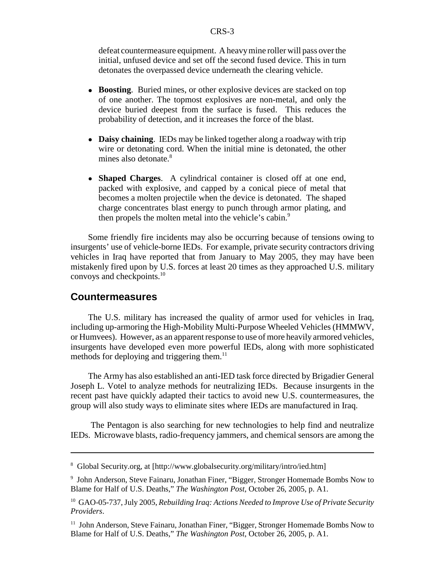defeat countermeasure equipment. A heavy mine roller will pass over the initial, unfused device and set off the second fused device. This in turn detonates the overpassed device underneath the clearing vehicle.

- ! **Boosting**. Buried mines, or other explosive devices are stacked on top of one another. The topmost explosives are non-metal, and only the device buried deepest from the surface is fused. This reduces the probability of detection, and it increases the force of the blast.
- ! **Daisy chaining**. IEDs may be linked together along a roadway with trip wire or detonating cord. When the initial mine is detonated, the other mines also detonate.<sup>8</sup>
- ! **Shaped Charges**. A cylindrical container is closed off at one end, packed with explosive, and capped by a conical piece of metal that becomes a molten projectile when the device is detonated. The shaped charge concentrates blast energy to punch through armor plating, and then propels the molten metal into the vehicle's cabin.<sup>9</sup>

Some friendly fire incidents may also be occurring because of tensions owing to insurgents' use of vehicle-borne IEDs. For example, private security contractors driving vehicles in Iraq have reported that from January to May 2005, they may have been mistakenly fired upon by U.S. forces at least 20 times as they approached U.S. military convoys and checkpoints.10

### **Countermeasures**

The U.S. military has increased the quality of armor used for vehicles in Iraq, including up-armoring the High-Mobility Multi-Purpose Wheeled Vehicles (HMMWV, or Humvees). However, as an apparent response to use of more heavily armored vehicles, insurgents have developed even more powerful IEDs, along with more sophisticated methods for deploying and triggering them. $<sup>11</sup>$ </sup>

The Army has also established an anti-IED task force directed by Brigadier General Joseph L. Votel to analyze methods for neutralizing IEDs. Because insurgents in the recent past have quickly adapted their tactics to avoid new U.S. countermeasures, the group will also study ways to eliminate sites where IEDs are manufactured in Iraq.

 The Pentagon is also searching for new technologies to help find and neutralize IEDs. Microwave blasts, radio-frequency jammers, and chemical sensors are among the

<sup>&</sup>lt;sup>8</sup> Global Security.org, at [http://www.globalsecurity.org/military/intro/ied.htm]

<sup>9</sup> John Anderson, Steve Fainaru, Jonathan Finer, "Bigger, Stronger Homemade Bombs Now to Blame for Half of U.S. Deaths," *The Washington Post*, October 26, 2005, p. A1.

<sup>10</sup> GAO-05-737, July 2005, *Rebuilding Iraq: Actions Needed to Improve Use of Private Security Providers*.

<sup>&</sup>lt;sup>11</sup> John Anderson, Steve Fainaru, Jonathan Finer, "Bigger, Stronger Homemade Bombs Now to Blame for Half of U.S. Deaths," *The Washington Post*, October 26, 2005, p. A1.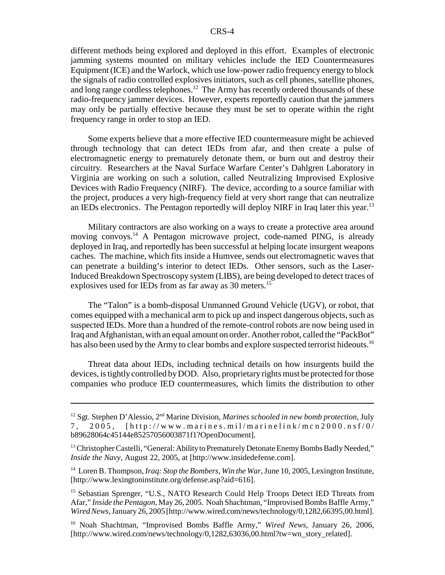different methods being explored and deployed in this effort. Examples of electronic jamming systems mounted on military vehicles include the IED Countermeasures Equipment (ICE) and the Warlock, which use low-power radio frequency energy to block the signals of radio controlled explosives initiators, such as cell phones, satellite phones, and long range cordless telephones.<sup>12</sup> The Army has recently ordered thousands of these radio-frequency jammer devices. However, experts reportedly caution that the jammers may only be partially effective because they must be set to operate within the right frequency range in order to stop an IED.

Some experts believe that a more effective IED countermeasure might be achieved through technology that can detect IEDs from afar, and then create a pulse of electromagnetic energy to prematurely detonate them, or burn out and destroy their circuitry. Researchers at the Naval Surface Warfare Center's Dahlgren Laboratory in Virginia are working on such a solution, called Neutralizing Improvised Explosive Devices with Radio Frequency (NIRF). The device, according to a source familiar with the project, produces a very high-frequency field at very short range that can neutralize an IEDs electronics. The Pentagon reportedly will deploy NIRF in Iraq later this year.<sup>13</sup>

Military contractors are also working on a ways to create a protective area around moving convoys.<sup>14</sup> A Pentagon microwave project, code-named PING, is already deployed in Iraq, and reportedly has been successful at helping locate insurgent weapons caches. The machine, which fits inside a Humvee, sends out electromagnetic waves that can penetrate a building's interior to detect IEDs. Other sensors, such as the Laser-Induced Breakdown Spectroscopy system (LIBS), are being developed to detect traces of explosives used for IEDs from as far away as 30 meters.<sup>15</sup>

The "Talon" is a bomb-disposal Unmanned Ground Vehicle (UGV), or robot, that comes equipped with a mechanical arm to pick up and inspect dangerous objects, such as suspected IEDs. More than a hundred of the remote-control robots are now being used in Iraq and Afghanistan, with an equal amount on order. Another robot, called the "PackBot" has also been used by the Army to clear bombs and explore suspected terrorist hideouts.<sup>16</sup>

Threat data about IEDs, including technical details on how insurgents build the devices, is tightly controlled by DOD. Also, proprietary rights must be protected for those companies who produce IED countermeasures, which limits the distribution to other

<sup>14</sup> Loren B. Thompson, *Iraq: Stop the Bombers, Win the War*, June 10, 2005, Lexington Institute, [http://www.lexingtoninstitute.org/defense.asp?aid=616].

16 Noah Shachtman, "Improvised Bombs Baffle Army," *Wired News*, January 26, 2006, [http://www.wired.com/news/technology/0,1282,63036,00.html?tw=wn\_story\_related].

<sup>&</sup>lt;sup>12</sup> Sgt. Stephen D'Alessio, 2<sup>nd</sup> Marine Division, *Marines schooled in new bomb protection*, July 7, 2005, [http://www. marines.mil/marinelink/mcn2000.nsf/0/ b89628064c45144e85257056003871f1?OpenDocument].

<sup>&</sup>lt;sup>13</sup> Christopher Castelli, "General: Ability to Prematurely Detonate Enemy Bombs Badly Needed," *Inside the Navy*, August 22, 2005, at [http://www.insidedefense.com].

<sup>&</sup>lt;sup>15</sup> Sebastian Sprenger, "U.S., NATO Research Could Help Troops Detect IED Threats from Afar," *Inside the Pentagon*, May 26, 2005. Noah Shachtman, "Improvised Bombs Baffle Army," *Wired News*, January 26, 2005 [http://www.wired.com/news/technology/0,1282,66395,00.html].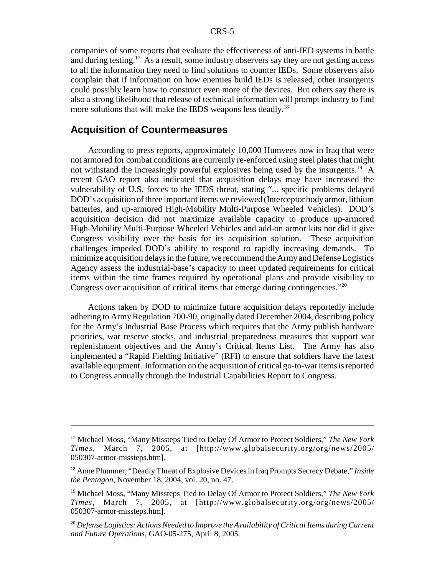companies of some reports that evaluate the effectiveness of anti-IED systems in battle and during testing.<sup>17</sup> As a result, some industry observers say they are not getting access to all the information they need to find solutions to counter IEDs. Some observers also complain that if information on how enemies build IEDs is released, other insurgents could possibly learn how to construct even more of the devices. But others say there is also a strong likelihood that release of technical information will prompt industry to find more solutions that will make the IEDS weapons less deadly.<sup>18</sup>

#### **Acquisition of Countermeasures**

According to press reports, approximately 10,000 Humvees now in Iraq that were not armored for combat conditions are currently re-enforced using steel plates that might not withstand the increasingly powerful explosives being used by the insurgents.<sup>19</sup> A recent GAO report also indicated that acquisition delays may have increased the vulnerability of U.S. forces to the IEDS threat, stating "... specific problems delayed DOD's acquisition of three important items we reviewed (Interceptor body armor, lithium batteries, and up-armored High-Mobility Multi-Purpose Wheeled Vehicles). DOD's acquisition decision did not maximize available capacity to produce up-armored High-Mobility Multi-Purpose Wheeled Vehicles and add-on armor kits nor did it give Congress visibility over the basis for its acquisition solution. These acquisition challenges impeded DOD's ability to respond to rapidly increasing demands. To minimize acquisition delays in the future, we recommend the Army and Defense Logistics Agency assess the industrial-base's capacity to meet updated requirements for critical items within the time frames required by operational plans and provide visibility to Congress over acquisition of critical items that emerge during contingencies."20

Actions taken by DOD to minimize future acquisition delays reportedly include adhering to Army Regulation 700-90, originally dated December 2004, describing policy for the Army's Industrial Base Process which requires that the Army publish hardware priorities, war reserve stocks, and industrial preparedness measures that support war replenishment objectives and the Army's Critical Items List. The Army has also implemented a "Rapid Fielding Initiative" (RFI) to ensure that soldiers have the latest available equipment. Information on the acquisition of critical go-to-war items is reported to Congress annually through the Industrial Capabilities Report to Congress.

<sup>17</sup> Michael Moss, "Many Missteps Tied to Delay Of Armor to Protect Soldiers," *The New York Times*, March 7, 2005, at [http://www.globalsecurity.org/org/news/2005/ 050307-armor-missteps.htm].

<sup>18</sup> Anne Plummer, "Deadly Threat of Explosive Devices in Iraq Prompts Secrecy Debate," *Inside the Pentagon*, November 18, 2004, vol. 20, no. 47.

<sup>19</sup> Michael Moss, "Many Missteps Tied to Delay Of Armor to Protect Soldiers," *The New York Times*, March 7, 2005, at [http://www.globalsecurity.org/org/news/2005/ 050307-armor-missteps.htm].

<sup>20</sup> *Defense Logistics: Actions Needed to Improve the Availability of Critical Items during Current and Future Operations*, GAO-05-275, April 8, 2005.